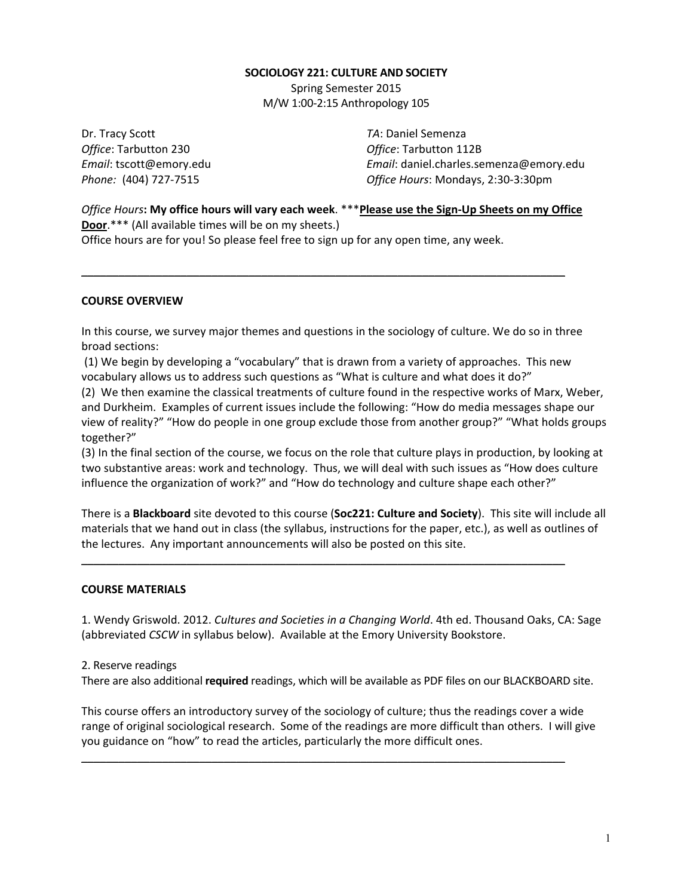# **SOCIOLOGY 221: CULTURE AND SOCIETY**

Spring Semester 2015 M/W 1:00-2:15 Anthropology 105

Dr. Tracy Scott **TA:** Daniel Semenza **Office:** Tarbutton 230 **Office**: Tarbutton 112B

*Email*: tscott@emory.edu *Email*: daniel.charles.semenza@emory.edu *Phone:* (404) 727-7515 *Office Hours*: Mondays, 2:30-3:30pm

*Office Hours*: My office hours will vary each week. \*\*\* Please use the Sign-Up Sheets on my Office **Door.**\*\*\* (All available times will be on my sheets.) Office hours are for you! So please feel free to sign up for any open time, any week.

\_\_\_\_\_\_\_\_\_\_\_\_\_\_\_\_\_\_\_\_\_\_\_\_\_\_\_\_\_\_\_\_\_\_\_\_\_\_\_\_\_\_\_\_\_\_\_\_\_\_\_\_\_\_\_\_\_\_\_\_\_\_\_\_\_\_\_\_\_\_\_\_\_\_\_\_\_\_

# **COURSE OVERVIEW**

In this course, we survey major themes and questions in the sociology of culture. We do so in three broad sections:

(1) We begin by developing a "vocabulary" that is drawn from a variety of approaches. This new vocabulary allows us to address such questions as "What is culture and what does it do?"

(2) We then examine the classical treatments of culture found in the respective works of Marx, Weber, and Durkheim. Examples of current issues include the following: "How do media messages shape our view of reality?" "How do people in one group exclude those from another group?" "What holds groups together?" 

(3) In the final section of the course, we focus on the role that culture plays in production, by looking at two substantive areas: work and technology. Thus, we will deal with such issues as "How does culture influence the organization of work?" and "How do technology and culture shape each other?"

There is a **Blackboard** site devoted to this course (**Soc221: Culture and Society**). This site will include all materials that we hand out in class (the syllabus, instructions for the paper, etc.), as well as outlines of the lectures. Any important announcements will also be posted on this site.

\_\_\_\_\_\_\_\_\_\_\_\_\_\_\_\_\_\_\_\_\_\_\_\_\_\_\_\_\_\_\_\_\_\_\_\_\_\_\_\_\_\_\_\_\_\_\_\_\_\_\_\_\_\_\_\_\_\_\_\_\_\_\_\_\_\_\_\_\_\_\_\_\_\_\_\_\_\_

#### **COURSE MATERIALS**

1. Wendy Griswold. 2012. *Cultures and Societies in a Changing World*. 4th ed. Thousand Oaks, CA: Sage (abbreviated *CSCW* in syllabus below). Available at the Emory University Bookstore.

#### 2. Reserve readings

There are also additional **required** readings, which will be available as PDF files on our BLACKBOARD site.

This course offers an introductory survey of the sociology of culture; thus the readings cover a wide range of original sociological research. Some of the readings are more difficult than others. I will give you guidance on "how" to read the articles, particularly the more difficult ones.

\_\_\_\_\_\_\_\_\_\_\_\_\_\_\_\_\_\_\_\_\_\_\_\_\_\_\_\_\_\_\_\_\_\_\_\_\_\_\_\_\_\_\_\_\_\_\_\_\_\_\_\_\_\_\_\_\_\_\_\_\_\_\_\_\_\_\_\_\_\_\_\_\_\_\_\_\_\_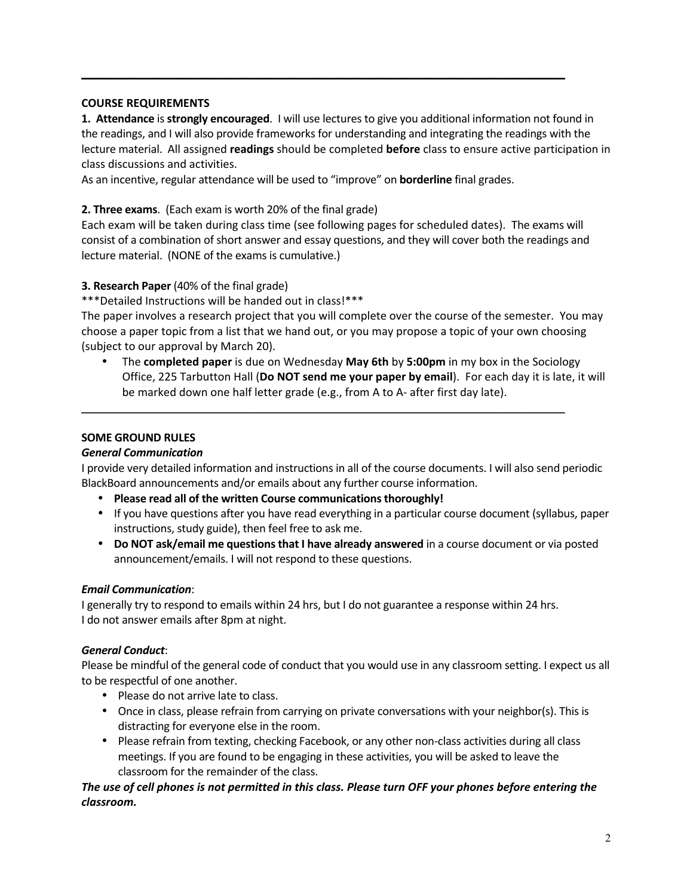# **COURSE REQUIREMENTS**

**1. Attendance** is **strongly encouraged**. I will use lectures to give you additional information not found in the readings, and I will also provide frameworks for understanding and integrating the readings with the lecture material. All assigned **readings** should be completed **before** class to ensure active participation in class discussions and activities.

\_\_\_\_\_\_\_\_\_\_\_\_\_\_\_\_\_\_\_\_\_\_\_\_\_\_\_\_\_\_\_\_\_\_\_\_\_\_\_\_\_\_\_\_\_\_\_\_\_\_\_\_\_\_\_\_\_\_\_\_\_\_\_\_\_\_\_\_\_\_\_\_\_\_\_\_\_\_

As an incentive, regular attendance will be used to "improve" on **borderline** final grades.

# **2. Three exams**. (Each exam is worth 20% of the final grade)

Each exam will be taken during class time (see following pages for scheduled dates). The exams will consist of a combination of short answer and essay questions, and they will cover both the readings and lecture material. (NONE of the exams is cumulative.)

# **3. Research Paper** (40% of the final grade)

\*\*\*Detailed Instructions will be handed out in class!\*\*\*

The paper involves a research project that you will complete over the course of the semester. You may choose a paper topic from a list that we hand out, or you may propose a topic of your own choosing (subject to our approval by March 20).

• The **completed paper** is due on Wednesday **May 6th** by 5:00pm in my box in the Sociology Office, 225 Tarbutton Hall (Do NOT send me your paper by email). For each day it is late, it will be marked down one half letter grade (e.g., from A to A- after first day late).

# **SOME GROUND RULES**

# *General Communication*

I provide very detailed information and instructions in all of the course documents. I will also send periodic BlackBoard announcements and/or emails about any further course information.

\_\_\_\_\_\_\_\_\_\_\_\_\_\_\_\_\_\_\_\_\_\_\_\_\_\_\_\_\_\_\_\_\_\_\_\_\_\_\_\_\_\_\_\_\_\_\_\_\_\_\_\_\_\_\_\_\_\_\_\_\_\_\_\_\_\_\_\_\_\_\_\_\_\_\_\_\_\_

- Please read all of the written Course communications thoroughly!
- If you have questions after you have read everything in a particular course document (syllabus, paper instructions, study guide), then feel free to ask me.
- Do NOT ask/email me questions that I have already answered in a course document or via posted announcement/emails. I will not respond to these questions.

# *Email Communication*:

I generally try to respond to emails within 24 hrs, but I do not guarantee a response within 24 hrs. I do not answer emails after 8pm at night.

# *General Conduct*:

Please be mindful of the general code of conduct that you would use in any classroom setting. I expect us all to be respectful of one another.

- Please do not arrive late to class.
- Once in class, please refrain from carrying on private conversations with your neighbor(s). This is distracting for everyone else in the room.
- Please refrain from texting, checking Facebook, or any other non-class activities during all class meetings. If you are found to be engaging in these activities, you will be asked to leave the classroom for the remainder of the class.

# The use of cell phones is not permitted in this class. Please turn OFF your phones before entering the *classroom.*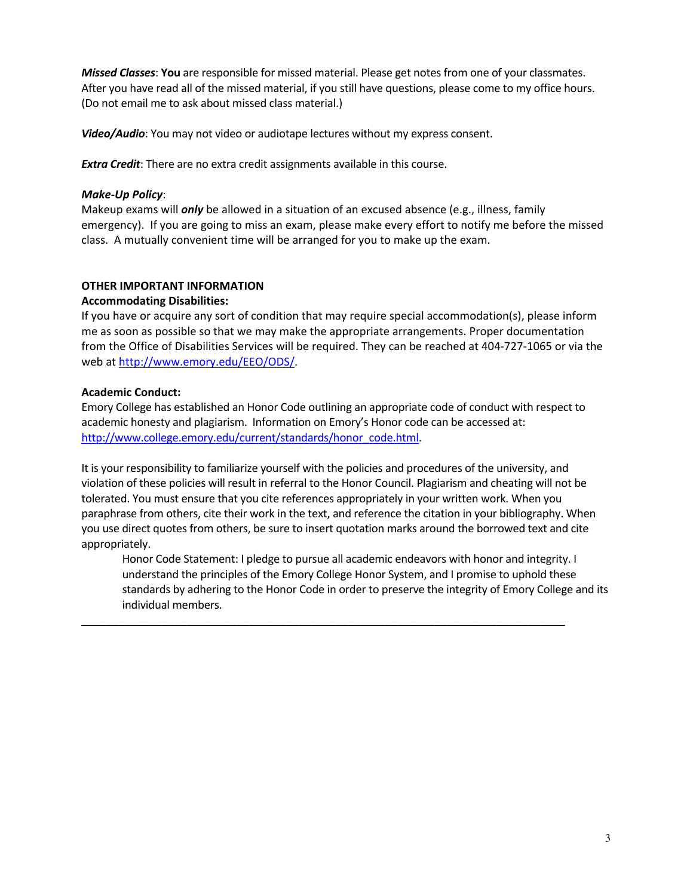*Missed Classes*: You are responsible for missed material. Please get notes from one of your classmates. After you have read all of the missed material, if you still have questions, please come to my office hours. (Do not email me to ask about missed class material.)

**Video/Audio**: You may not video or audiotape lectures without my express consent.

**Extra Credit:** There are no extra credit assignments available in this course.

# *Make-Up Policy*:

Makeup exams will **only** be allowed in a situation of an excused absence (e.g., illness, family emergency). If you are going to miss an exam, please make every effort to notify me before the missed class. A mutually convenient time will be arranged for you to make up the exam.

# **OTHER IMPORTANT INFORMATION**

# **Accommodating Disabilities:**

If you have or acquire any sort of condition that may require special accommodation(s), please inform me as soon as possible so that we may make the appropriate arrangements. Proper documentation from the Office of Disabilities Services will be required. They can be reached at 404-727-1065 or via the web at http://www.emory.edu/EEO/ODS/.

# **Academic Conduct:**

Emory College has established an Honor Code outlining an appropriate code of conduct with respect to academic honesty and plagiarism. Information on Emory's Honor code can be accessed at: http://www.college.emory.edu/current/standards/honor\_code.html. 

It is your responsibility to familiarize yourself with the policies and procedures of the university, and violation of these policies will result in referral to the Honor Council. Plagiarism and cheating will not be tolerated. You must ensure that you cite references appropriately in your written work. When you paraphrase from others, cite their work in the text, and reference the citation in your bibliography. When you use direct quotes from others, be sure to insert quotation marks around the borrowed text and cite appropriately.

\_\_\_\_\_\_\_\_\_\_\_\_\_\_\_\_\_\_\_\_\_\_\_\_\_\_\_\_\_\_\_\_\_\_\_\_\_\_\_\_\_\_\_\_\_\_\_\_\_\_\_\_\_\_\_\_\_\_\_\_\_\_\_\_\_\_\_\_\_\_\_\_\_\_\_\_\_\_

Honor Code Statement: I pledge to pursue all academic endeavors with honor and integrity. I understand the principles of the Emory College Honor System, and I promise to uphold these standards by adhering to the Honor Code in order to preserve the integrity of Emory College and its individual members.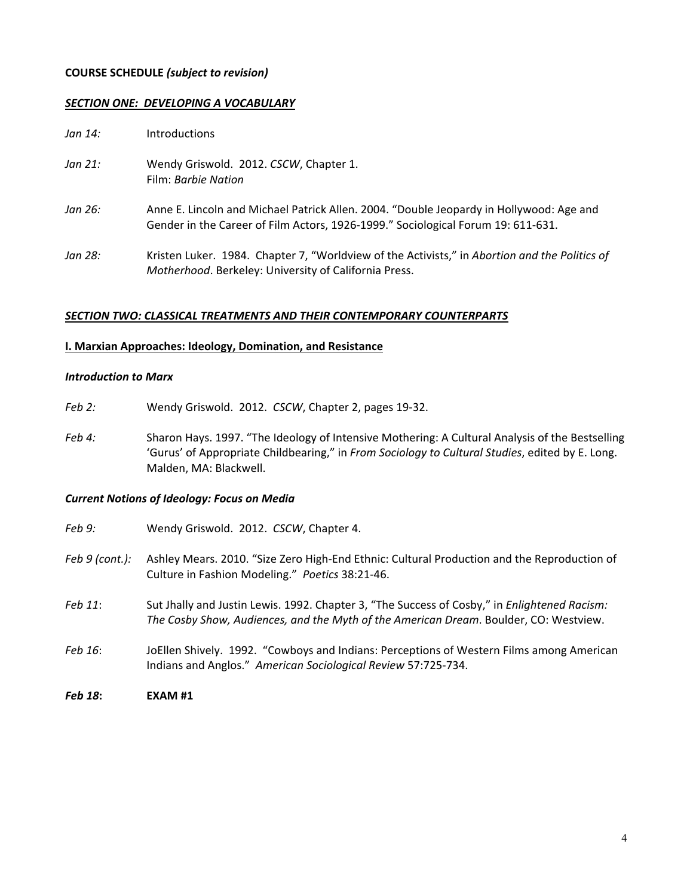## **COURSE SCHEDULE** *(subject to revision)*

## *SECTION ONE: DEVELOPING A VOCABULARY*

| Jan 14: | <b>Introductions</b>                                                                                                                                                        |
|---------|-----------------------------------------------------------------------------------------------------------------------------------------------------------------------------|
| Jan 21: | Wendy Griswold. 2012. CSCW, Chapter 1.<br>Film: Barbie Nation                                                                                                               |
| Jan 26: | Anne E. Lincoln and Michael Patrick Allen. 2004. "Double Jeopardy in Hollywood: Age and<br>Gender in the Career of Film Actors, 1926-1999." Sociological Forum 19: 611-631. |
| Jan 28: | Kristen Luker. 1984. Chapter 7, "Worldview of the Activists," in Abortion and the Politics of<br>Motherhood. Berkeley: University of California Press.                      |

#### **SECTION TWO: CLASSICAL TREATMENTS AND THEIR CONTEMPORARY COUNTERPARTS**

## **I. Marxian Approaches: Ideology, Domination, and Resistance**

#### *Introduction to Marx*

- Feb 2: Wendy Griswold. 2012. *CSCW*, Chapter 2, pages 19-32.
- Feb 4: Sharon Hays. 1997. "The Ideology of Intensive Mothering: A Cultural Analysis of the Bestselling 'Gurus' of Appropriate Childbearing," in *From Sociology to Cultural Studies*, edited by E. Long. Malden, MA: Blackwell.

#### *Current Notions of Ideology: Focus on Media*

*Feb 9:* Wendy Griswold. 2012. *CSCW*, Chapter 4. Feb 9 (cont.): Ashley Mears. 2010. "Size Zero High-End Ethnic: Cultural Production and the Reproduction of Culture in Fashion Modeling." Poetics 38:21-46. *Feb* 11: Sut Jhally and Justin Lewis. 1992. Chapter 3, "The Success of Cosby," in *Enlightened Racism:* The Cosby Show, Audiences, and the Myth of the American Dream. Boulder, CO: Westview. Feb 16: JoEllen Shively. 1992. "Cowboys and Indians: Perceptions of Western Films among American Indians and Anglos." American Sociological Review 57:725-734. *Feb 18***: EXAM #1**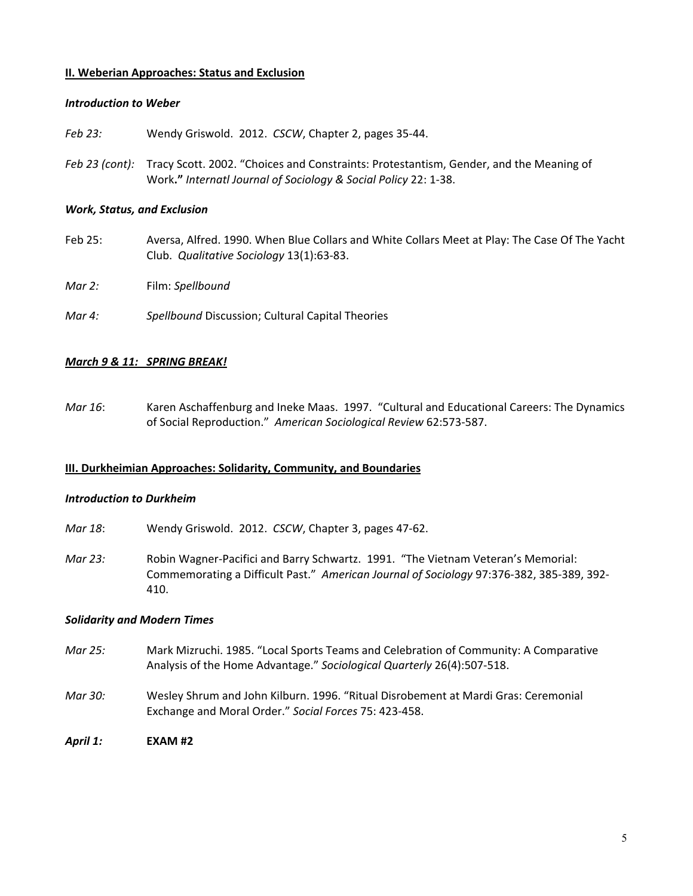### **II. Weberian Approaches: Status and Exclusion**

### *Introduction to Weber*

Feb 23: Wendy Griswold. 2012. *CSCW*, Chapter 2, pages 35-44.

Feb 23 (cont): Tracy Scott. 2002. "Choices and Constraints: Protestantism, Gender, and the Meaning of Work." Internatl Journal of Sociology & Social Policy 22: 1-38.

## **Work, Status, and Exclusion**

- Feb 25: Aversa, Alfred. 1990. When Blue Collars and White Collars Meet at Play: The Case Of The Yacht Club. *Qualitative Sociology* 13(1):63-83.
- *Mar 2:*  Film: *Spellbound*
- *Mar 4:* Spellbound Discussion; Cultural Capital Theories

## *March 9 & 11: SPRING BREAK!*

*Mar 16*: Karen Aschaffenburg and Ineke Maas. 1997. "Cultural and Educational Careers: The Dynamics of Social Reproduction." American Sociological Review 62:573-587.

#### **III. Durkheimian Approaches: Solidarity, Community, and Boundaries**

#### *Introduction to Durkheim*

- *Mar 18*: Wendy Griswold. 2012. *CSCW*, Chapter 3, pages 47-62.
- *Mar 23:* Robin Wagner-Pacifici and Barry Schwartz. 1991. "The Vietnam Veteran's Memorial: Commemorating a Difficult Past." American Journal of Sociology 97:376-382, 385-389, 392-410.

#### *Solidarity and Modern Times*

- *Mar 25:* Mark Mizruchi. 1985. "Local Sports Teams and Celebration of Community: A Comparative Analysis of the Home Advantage." Sociological Quarterly 26(4):507-518.
- *Mar 30:* Wesley Shrum and John Kilburn. 1996. "Ritual Disrobement at Mardi Gras: Ceremonial Exchange and Moral Order." Social Forces 75: 423-458.
- *April 1:* **EXAM #2**